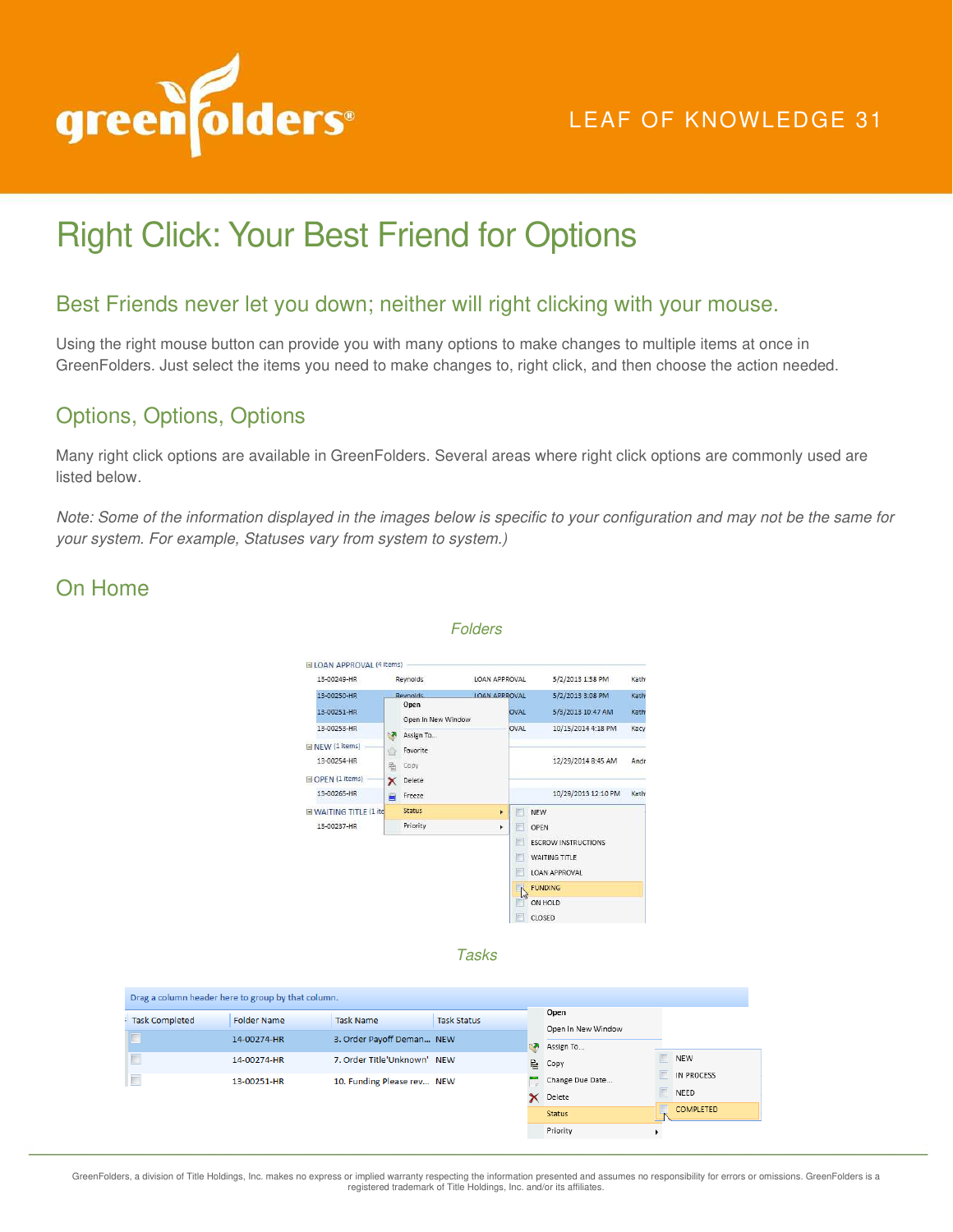

## LEAF OF KNOWLEDGE 31

# Right Click: Your Best Friend for Options

#### Best Friends never let you down; neither will right clicking with your mouse.

Using the right mouse button can provide you with many options to make changes to multiple items at once in GreenFolders. Just select the items you need to make changes to, right click, and then choose the action needed.

### Options, Options, Options

Many right click options are available in GreenFolders. Several areas where right click options are commonly used are listed below*.* 

*Note: Some of the information displayed in the images below is specific to your configuration and may not be the same for your system. For example, Statuses vary from system to system.)* 

#### On Home



*Folders* 

*Tasks* 

| Open<br><b>Folder Name</b><br><b>Task Status</b><br><b>Task Completed</b><br><b>Task Name</b><br>Open In New Window<br>n<br>3. Order Payoff Deman NEW<br>14-00274-HR<br>Assign To<br>NEW<br>7. Order Title'Unknown' NEW<br>14-00274-HR<br>昏<br>Copy<br>IN PROCESS |  |
|-------------------------------------------------------------------------------------------------------------------------------------------------------------------------------------------------------------------------------------------------------------------|--|
|                                                                                                                                                                                                                                                                   |  |
|                                                                                                                                                                                                                                                                   |  |
|                                                                                                                                                                                                                                                                   |  |
| Æ<br>Change Due Date<br>10. Funding Please rev NEW<br>13-00251-HR                                                                                                                                                                                                 |  |
| NEED<br>Delete<br>COMPLETED                                                                                                                                                                                                                                       |  |
| <b>Status</b><br>Priority                                                                                                                                                                                                                                         |  |

GreenFolders, a division of Title Holdings, Inc. makes no express or implied warranty respecting the information presented and assumes no responsibility for errors or omissions. GreenFolders is a<br>registered trademark of Ti